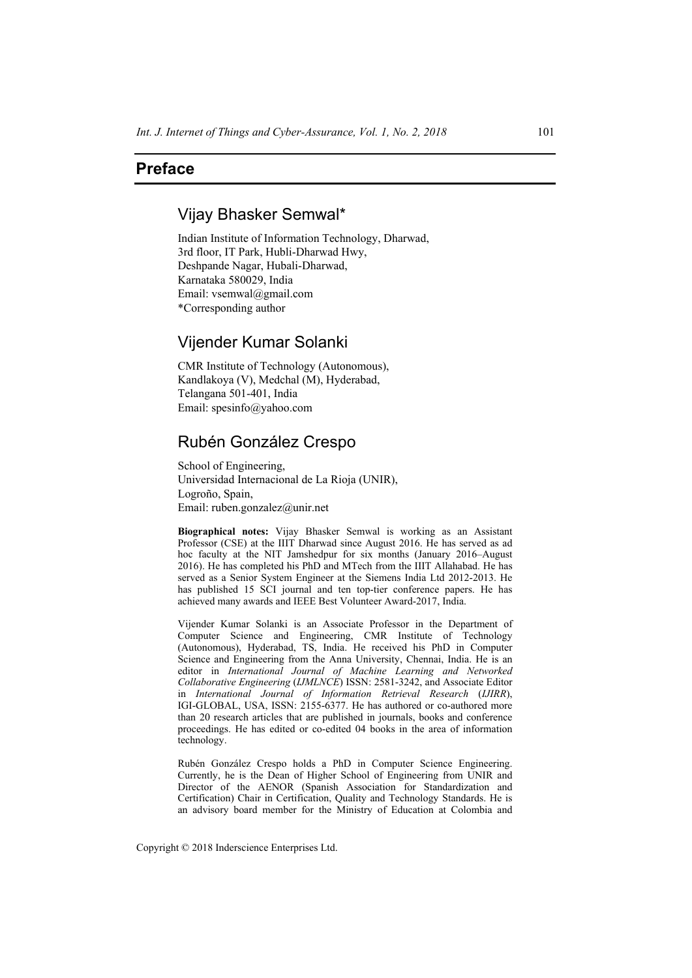## **Preface**

## Vijay Bhasker Semwal\*

Indian Institute of Information Technology, Dharwad, 3rd floor, IT Park, Hubli-Dharwad Hwy, Deshpande Nagar, Hubali-Dharwad, Karnataka 580029, India Email: vsemwal@gmail.com \*Corresponding author

## Vijender Kumar Solanki

CMR Institute of Technology (Autonomous), Kandlakoya (V), Medchal (M), Hyderabad, Telangana 501-401, India Email: spesinfo@yahoo.com

# Rubén González Crespo

School of Engineering, Universidad Internacional de La Rioja (UNIR), Logroño, Spain, Email: ruben.gonzalez@unir.net

**Biographical notes:** Vijay Bhasker Semwal is working as an Assistant Professor (CSE) at the IIIT Dharwad since August 2016. He has served as ad hoc faculty at the NIT Jamshedpur for six months (January 2016–August 2016). He has completed his PhD and MTech from the IIIT Allahabad. He has served as a Senior System Engineer at the Siemens India Ltd 2012-2013. He has published 15 SCI journal and ten top-tier conference papers. He has achieved many awards and IEEE Best Volunteer Award-2017, India.

Vijender Kumar Solanki is an Associate Professor in the Department of Computer Science and Engineering, CMR Institute of Technology (Autonomous), Hyderabad, TS, India. He received his PhD in Computer Science and Engineering from the Anna University, Chennai, India. He is an editor in *International Journal of Machine Learning and Networked Collaborative Engineering* (*IJMLNCE*) ISSN: 2581-3242, and Associate Editor in *International Journal of Information Retrieval Research* (*IJIRR*), IGI-GLOBAL, USA, ISSN: 2155-6377. He has authored or co-authored more than 20 research articles that are published in journals, books and conference proceedings. He has edited or co-edited 04 books in the area of information technology.

Rubén González Crespo holds a PhD in Computer Science Engineering. Currently, he is the Dean of Higher School of Engineering from UNIR and Director of the AENOR (Spanish Association for Standardization and Certification) Chair in Certification, Quality and Technology Standards. He is an advisory board member for the Ministry of Education at Colombia and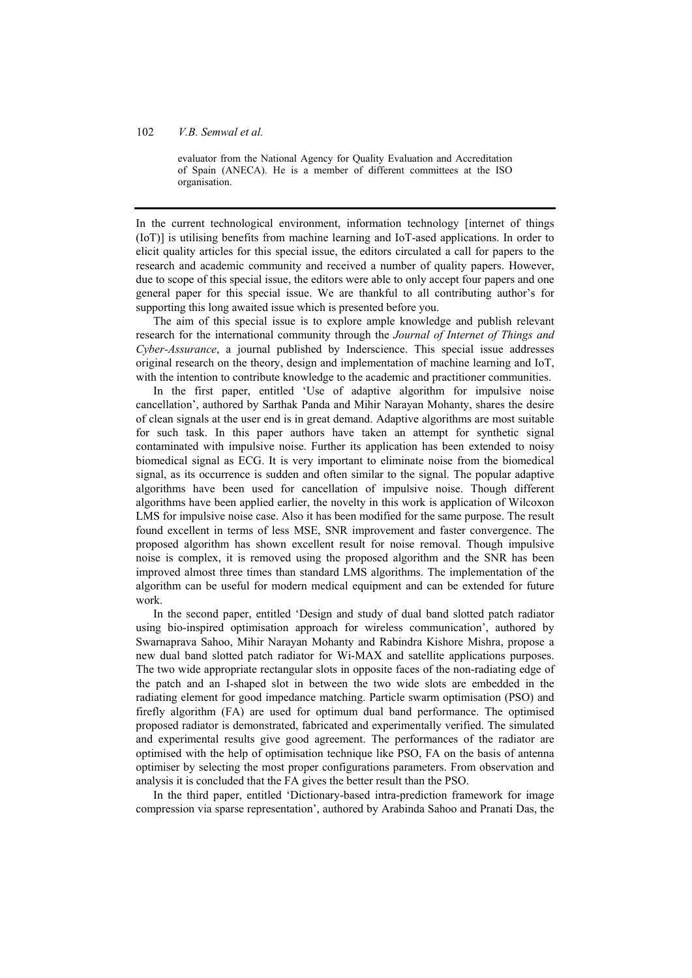### 102 *V.B. Semwal et al.*

evaluator from the National Agency for Quality Evaluation and Accreditation of Spain (ANECA). He is a member of different committees at the ISO organisation.

In the current technological environment, information technology [internet of things (IoT)] is utilising benefits from machine learning and IoT-ased applications. In order to elicit quality articles for this special issue, the editors circulated a call for papers to the research and academic community and received a number of quality papers. However, due to scope of this special issue, the editors were able to only accept four papers and one general paper for this special issue. We are thankful to all contributing author's for supporting this long awaited issue which is presented before you.

The aim of this special issue is to explore ample knowledge and publish relevant research for the international community through the *Journal of Internet of Things and Cyber-Assurance*, a journal published by Inderscience. This special issue addresses original research on the theory, design and implementation of machine learning and IoT, with the intention to contribute knowledge to the academic and practitioner communities.

In the first paper, entitled 'Use of adaptive algorithm for impulsive noise cancellation', authored by Sarthak Panda and Mihir Narayan Mohanty, shares the desire of clean signals at the user end is in great demand. Adaptive algorithms are most suitable for such task. In this paper authors have taken an attempt for synthetic signal contaminated with impulsive noise. Further its application has been extended to noisy biomedical signal as ECG. It is very important to eliminate noise from the biomedical signal, as its occurrence is sudden and often similar to the signal. The popular adaptive algorithms have been used for cancellation of impulsive noise. Though different algorithms have been applied earlier, the novelty in this work is application of Wilcoxon LMS for impulsive noise case. Also it has been modified for the same purpose. The result found excellent in terms of less MSE, SNR improvement and faster convergence. The proposed algorithm has shown excellent result for noise removal. Though impulsive noise is complex, it is removed using the proposed algorithm and the SNR has been improved almost three times than standard LMS algorithms. The implementation of the algorithm can be useful for modern medical equipment and can be extended for future work.

In the second paper, entitled 'Design and study of dual band slotted patch radiator using bio-inspired optimisation approach for wireless communication', authored by Swarnaprava Sahoo, Mihir Narayan Mohanty and Rabindra Kishore Mishra, propose a new dual band slotted patch radiator for Wi-MAX and satellite applications purposes. The two wide appropriate rectangular slots in opposite faces of the non-radiating edge of the patch and an I-shaped slot in between the two wide slots are embedded in the radiating element for good impedance matching. Particle swarm optimisation (PSO) and firefly algorithm (FA) are used for optimum dual band performance. The optimised proposed radiator is demonstrated, fabricated and experimentally verified. The simulated and experimental results give good agreement. The performances of the radiator are optimised with the help of optimisation technique like PSO, FA on the basis of antenna optimiser by selecting the most proper configurations parameters. From observation and analysis it is concluded that the FA gives the better result than the PSO.

In the third paper, entitled 'Dictionary-based intra-prediction framework for image compression via sparse representation', authored by Arabinda Sahoo and Pranati Das, the